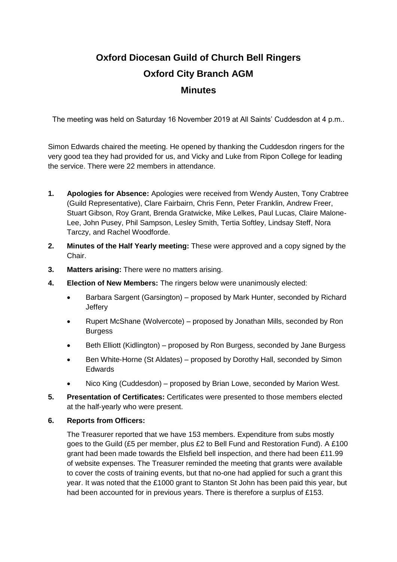## **Oxford Diocesan Guild of Church Bell Ringers Oxford City Branch AGM Minutes**

The meeting was held on Saturday 16 November 2019 at All Saints' Cuddesdon at 4 p.m..

Simon Edwards chaired the meeting. He opened by thanking the Cuddesdon ringers for the very good tea they had provided for us, and Vicky and Luke from Ripon College for leading the service. There were 22 members in attendance.

- **1. Apologies for Absence:** Apologies were received from Wendy Austen, Tony Crabtree (Guild Representative), Clare Fairbairn, Chris Fenn, Peter Franklin, Andrew Freer, Stuart Gibson, Roy Grant, Brenda Gratwicke, Mike Lelkes, Paul Lucas, Claire Malone-Lee, John Pusey, Phil Sampson, Lesley Smith, Tertia Softley, Lindsay Steff, Nora Tarczy, and Rachel Woodforde.
- **2. Minutes of the Half Yearly meeting:** These were approved and a copy signed by the Chair.
- **3. Matters arising:** There were no matters arising.
- **4. Election of New Members:** The ringers below were unanimously elected:
	- Barbara Sargent (Garsington) proposed by Mark Hunter, seconded by Richard **Jeffery**
	- Rupert McShane (Wolvercote) proposed by Jonathan Mills, seconded by Ron Burgess
	- Beth Elliott (Kidlington) proposed by Ron Burgess, seconded by Jane Burgess
	- Ben White-Horne (St Aldates) proposed by Dorothy Hall, seconded by Simon Edwards
	- Nico King (Cuddesdon) proposed by Brian Lowe, seconded by Marion West.
- **5. Presentation of Certificates:** Certificates were presented to those members elected at the half-yearly who were present.

## **6. Reports from Officers:**

The Treasurer reported that we have 153 members. Expenditure from subs mostly goes to the Guild (£5 per member, plus £2 to Bell Fund and Restoration Fund). A £100 grant had been made towards the Elsfield bell inspection, and there had been £11.99 of website expenses. The Treasurer reminded the meeting that grants were available to cover the costs of training events, but that no-one had applied for such a grant this year. It was noted that the £1000 grant to Stanton St John has been paid this year, but had been accounted for in previous years. There is therefore a surplus of £153.